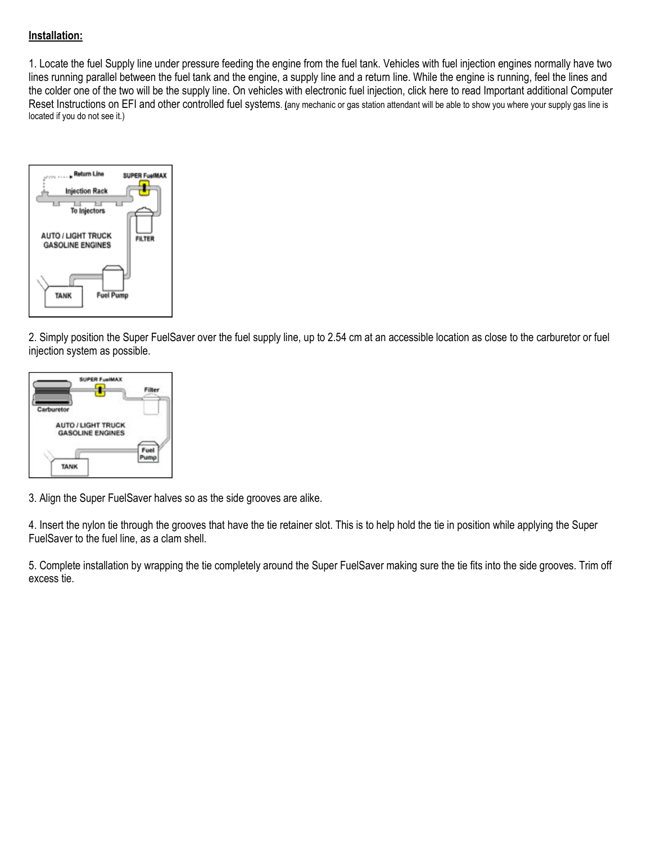# **Installation:**

1. Locate the fuel Supply line under pressure feeding the engine from the fuel tank. Vehicles with fuel injection engines normally have two lines running parallel between the fuel tank and the engine, a supply line and a return line. While the engine is running, feel the lines and the colder one of the two will be the supply line. On vehicles with electronic fuel injection, click here to read Important additional Computer Reset Instructions on EFI and other controlled fuel systems. **(**any mechanic or gas station attendant will be able to show you where your supply gas line is located if you do not see it.)



2. Simply position the Super FuelSaver over the fuel supply line, up to 2.54 cm at an accessible location as close to the carburetor or fuel injection system as possible.



3. Align the Super FuelSaver halves so as the side grooves are alike.

4. Insert the nylon tie through the grooves that have the tie retainer slot. This is to help hold the tie in position while applying the Super FuelSaver to the fuel line, as a clam shell.

5. Complete installation by wrapping the tie completely around the Super FuelSaver making sure the tie fits into the side grooves. Trim off excess tie.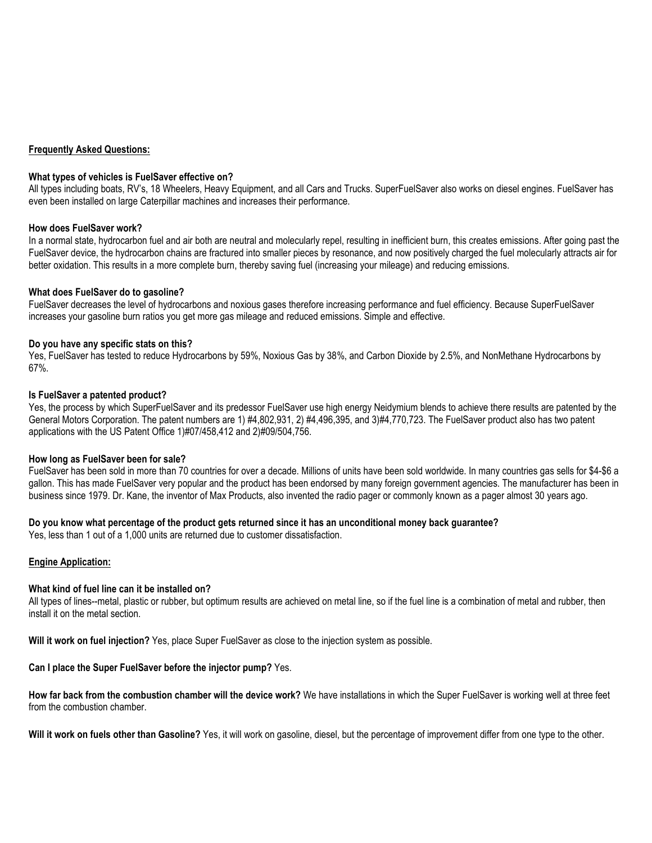#### **Frequently Asked Questions:**

#### **What types of vehicles is FuelSaver effective on?**

All types including boats, RV's, 18 Wheelers, Heavy Equipment, and all Cars and Trucks. SuperFuelSaver also works on diesel engines. FuelSaver has even been installed on large Caterpillar machines and increases their performance.

#### **How does FuelSaver work?**

In a normal state, hydrocarbon fuel and air both are neutral and molecularly repel, resulting in inefficient burn, this creates emissions. After going past the FuelSaver device, the hydrocarbon chains are fractured into smaller pieces by resonance, and now positively charged the fuel molecularly attracts air for better oxidation. This results in a more complete burn, thereby saving fuel (increasing your mileage) and reducing emissions.

#### **What does FuelSaver do to gasoline?**

FuelSaver decreases the level of hydrocarbons and noxious gases therefore increasing performance and fuel efficiency. Because SuperFuelSaver increases your gasoline burn ratios you get more gas mileage and reduced emissions. Simple and effective.

#### **Do you have any specific stats on this?**

Yes, FuelSaver has tested to reduce Hydrocarbons by 59%, Noxious Gas by 38%, and Carbon Dioxide by 2.5%, and NonMethane Hydrocarbons by 67%.

#### **Is FuelSaver a patented product?**

Yes, the process by which SuperFuelSaver and its predessor FuelSaver use high energy Neidymium blends to achieve there results are patented by the General Motors Corporation. The patent numbers are 1) #4,802,931, 2) #4,496,395, and 3)#4,770,723. The FuelSaver product also has two patent applications with the US Patent Office 1)#07/458,412 and 2)#09/504,756.

#### **How long as FuelSaver been for sale?**

FuelSaver has been sold in more than 70 countries for over a decade. Millions of units have been sold worldwide. In many countries gas sells for \$4-\$6 a gallon. This has made FuelSaver very popular and the product has been endorsed by many foreign government agencies. The manufacturer has been in business since 1979. Dr. Kane, the inventor of Max Products, also invented the radio pager or commonly known as a pager almost 30 years ago.

#### **Do you know what percentage of the product gets returned since it has an unconditional money back guarantee?**

Yes, less than 1 out of a 1,000 units are returned due to customer dissatisfaction.

#### **Engine Application:**

#### **What kind of fuel line can it be installed on?**

All types of lines--metal, plastic or rubber, but optimum results are achieved on metal line, so if the fuel line is a combination of metal and rubber, then install it on the metal section.

**Will it work on fuel injection?** Yes, place Super FuelSaver as close to the injection system as possible.

**Can I place the Super FuelSaver before the injector pump?** Yes.

**How far back from the combustion chamber will the device work?** We have installations in which the Super FuelSaver is working well at three feet from the combustion chamber.

**Will it work on fuels other than Gasoline?** Yes, it will work on gasoline, diesel, but the percentage of improvement differ from one type to the other.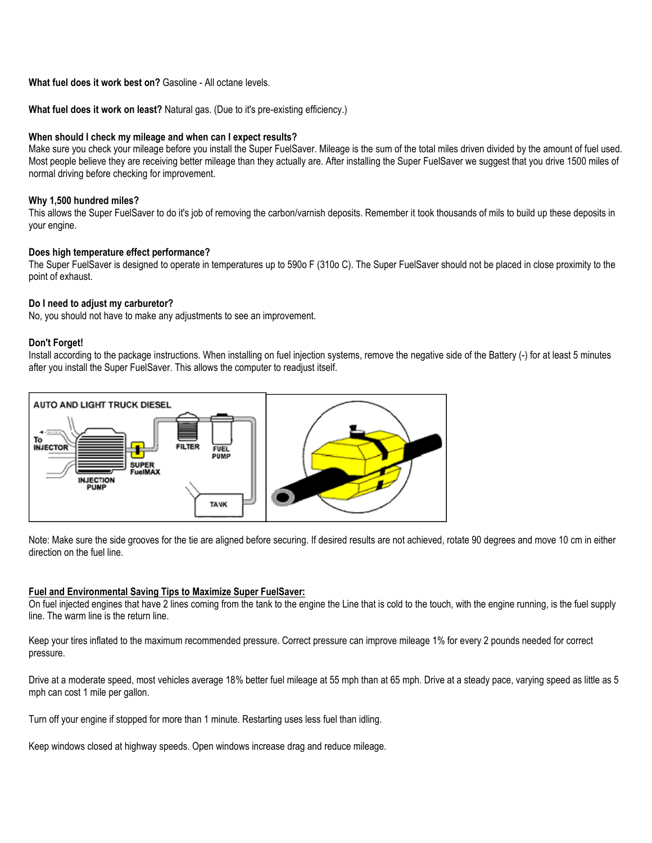# **What fuel does it work best on?** Gasoline - All octane levels.

## **What fuel does it work on least?** Natural gas. (Due to it's pre-existing efficiency.)

## **When should I check my mileage and when can I expect results?**

Make sure you check your mileage before you install the Super FuelSaver. Mileage is the sum of the total miles driven divided by the amount of fuel used. Most people believe they are receiving better mileage than they actually are. After installing the Super FuelSaver we suggest that you drive 1500 miles of normal driving before checking for improvement.

# **Why 1,500 hundred miles?**

This allows the Super FuelSaver to do it's job of removing the carbon/varnish deposits. Remember it took thousands of mils to build up these deposits in your engine.

# **Does high temperature effect performance?**

The Super FuelSaver is designed to operate in temperatures up to 590o F (310o C). The Super FuelSaver should not be placed in close proximity to the point of exhaust.

## **Do I need to adjust my carburetor?**

No, you should not have to make any adjustments to see an improvement.

#### **Don't Forget!**

Install according to the package instructions. When installing on fuel injection systems, remove the negative side of the Battery (-) for at least 5 minutes after you install the Super FuelSaver. This allows the computer to readjust itself.



Note: Make sure the side grooves for the tie are aligned before securing. If desired results are not achieved, rotate 90 degrees and move 10 cm in either direction on the fuel line.

#### **Fuel and Environmental Saving Tips to Maximize Super FuelSaver:**

On fuel injected engines that have 2 lines coming from the tank to the engine the Line that is cold to the touch, with the engine running, is the fuel supply line. The warm line is the return line.

Keep your tires inflated to the maximum recommended pressure. Correct pressure can improve mileage 1% for every 2 pounds needed for correct pressure.

Drive at a moderate speed, most vehicles average 18% better fuel mileage at 55 mph than at 65 mph. Drive at a steady pace, varying speed as little as 5 mph can cost 1 mile per gallon.

Turn off your engine if stopped for more than 1 minute. Restarting uses less fuel than idling.

Keep windows closed at highway speeds. Open windows increase drag and reduce mileage.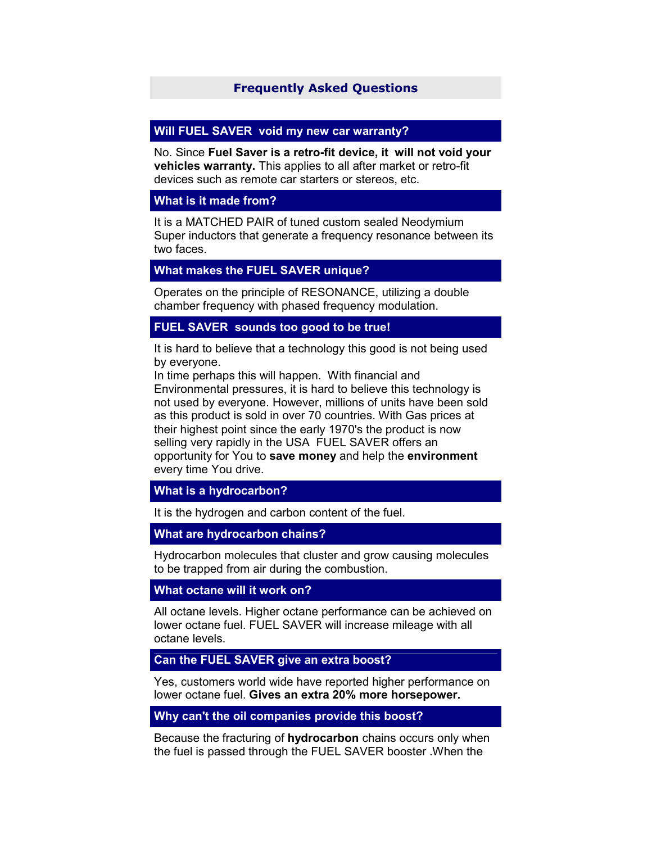# **Frequently Asked Questions**

### **Will FUEL SAVER void my new car warranty?**

No. Since **Fuel Saver is a retro-fit device, it will not void your vehicles warranty.** This applies to all after market or retro-fit devices such as remote car starters or stereos, etc.

### **What is it made from?**

It is a MATCHED PAIR of tuned custom sealed Neodymium Super inductors that generate a frequency resonance between its two faces.

## **What makes the FUEL SAVER unique?**

Operates on the principle of RESONANCE, utilizing a double chamber frequency with phased frequency modulation.

# **FUEL SAVER sounds too good to be true!**

It is hard to believe that a technology this good is not being used by everyone.

In time perhaps this will happen. With financial and Environmental pressures, it is hard to believe this technology is not used by everyone. However, millions of units have been sold as this product is sold in over 70 countries. With Gas prices at their highest point since the early 1970's the product is now selling very rapidly in the USA FUEL SAVER offers an opportunity for You to **save money** and help the **environment** every time You drive.

## **What is a hydrocarbon?**

It is the hydrogen and carbon content of the fuel.

#### **What are hydrocarbon chains?**

Hydrocarbon molecules that cluster and grow causing molecules to be trapped from air during the combustion.

#### **What octane will it work on?**

All octane levels. Higher octane performance can be achieved on lower octane fuel. FUEL SAVER will increase mileage with all octane levels.

### **Can the FUEL SAVER give an extra boost?**

Yes, customers world wide have reported higher performance on lower octane fuel. **Gives an extra 20% more horsepower.**

#### **Why can't the oil companies provide this boost?**

Because the fracturing of **hydrocarbon** chains occurs only when the fuel is passed through the FUEL SAVER booster .When the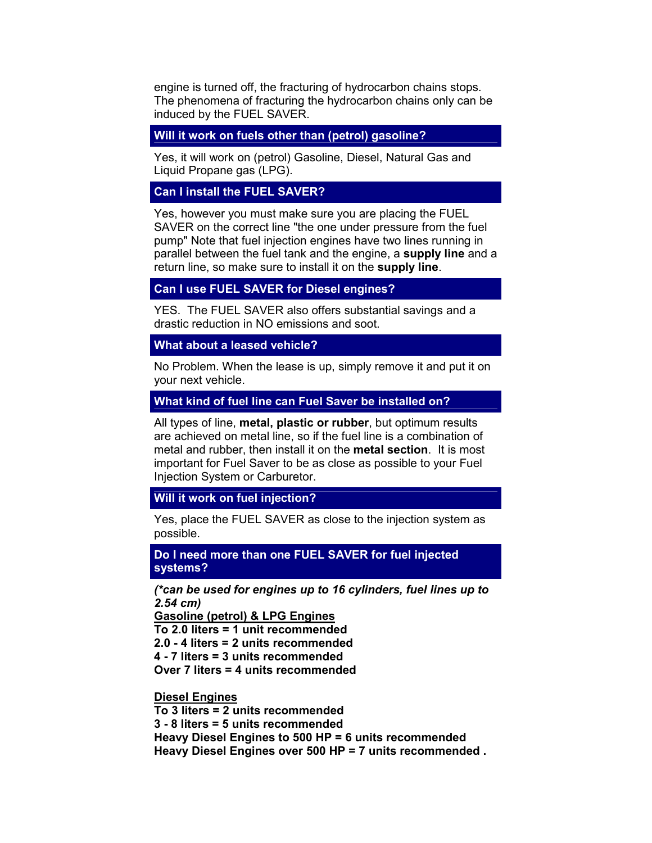engine is turned off, the fracturing of hydrocarbon chains stops. The phenomena of fracturing the hydrocarbon chains only can be induced by the FUEL SAVER.

**Will it work on fuels other than (petrol) gasoline?**

Yes, it will work on (petrol) Gasoline, Diesel, Natural Gas and Liquid Propane gas (LPG).

### **Can I install the FUEL SAVER?**

Yes, however you must make sure you are placing the FUEL SAVER on the correct line "the one under pressure from the fuel pump" Note that fuel injection engines have two lines running in parallel between the fuel tank and the engine, a **supply line** and a return line, so make sure to install it on the **supply line**.

## **Can I use FUEL SAVER for Diesel engines?**

YES. The FUEL SAVER also offers substantial savings and a drastic reduction in NO emissions and soot.

### **What about a leased vehicle?**

No Problem. When the lease is up, simply remove it and put it on your next vehicle.

#### **What kind of fuel line can Fuel Saver be installed on?**

All types of line, **metal, plastic or rubber**, but optimum results are achieved on metal line, so if the fuel line is a combination of metal and rubber, then install it on the **metal section**. It is most important for Fuel Saver to be as close as possible to your Fuel Injection System or Carburetor.

### **Will it work on fuel injection?**

Yes, place the FUEL SAVER as close to the injection system as possible.

**Do I need more than one FUEL SAVER for fuel injected systems?**

*(\*can be used for engines up to 16 cylinders, fuel lines up to 2.54 cm)*

**Gasoline (petrol) & LPG Engines To 2.0 liters = 1 unit recommended 2.0 - 4 liters = 2 units recommended 4 - 7 liters = 3 units recommended** 

**Over 7 liters = 4 units recommended** 

**Diesel Engines** 

**To 3 liters = 2 units recommended 3 - 8 liters = 5 units recommended Heavy Diesel Engines to 500 HP = 6 units recommended Heavy Diesel Engines over 500 HP = 7 units recommended .**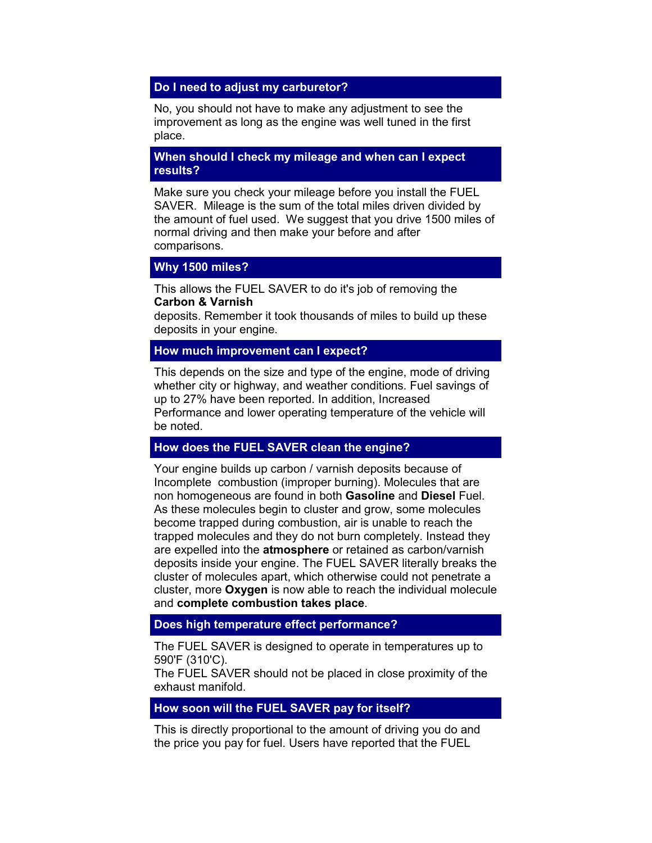## **Do I need to adjust my carburetor?**

No, you should not have to make any adjustment to see the improvement as long as the engine was well tuned in the first place.

### **When should I check my mileage and when can I expect results?**

Make sure you check your mileage before you install the FUEL SAVER. Mileage is the sum of the total miles driven divided by the amount of fuel used. We suggest that you drive 1500 miles of normal driving and then make your before and after comparisons.

#### **Why 1500 miles?**

This allows the FUEL SAVER to do it's job of removing the **Carbon & Varnish**

deposits. Remember it took thousands of miles to build up these deposits in your engine.

# **How much improvement can I expect?**

This depends on the size and type of the engine, mode of driving whether city or highway, and weather conditions. Fuel savings of up to 27% have been reported. In addition, Increased Performance and lower operating temperature of the vehicle will be noted.

# **How does the FUEL SAVER clean the engine?**

Your engine builds up carbon / varnish deposits because of Incomplete combustion (improper burning). Molecules that are non homogeneous are found in both **Gasoline** and **Diesel** Fuel. As these molecules begin to cluster and grow, some molecules become trapped during combustion, air is unable to reach the trapped molecules and they do not burn completely. Instead they are expelled into the **atmosphere** or retained as carbon/varnish deposits inside your engine. The FUEL SAVER literally breaks the cluster of molecules apart, which otherwise could not penetrate a cluster, more **Oxygen** is now able to reach the individual molecule and **complete combustion takes place**.

#### **Does high temperature effect performance?**

The FUEL SAVER is designed to operate in temperatures up to 590'F (310'C).

The FUEL SAVER should not be placed in close proximity of the exhaust manifold.

### **How soon will the FUEL SAVER pay for itself?**

This is directly proportional to the amount of driving you do and the price you pay for fuel. Users have reported that the FUEL